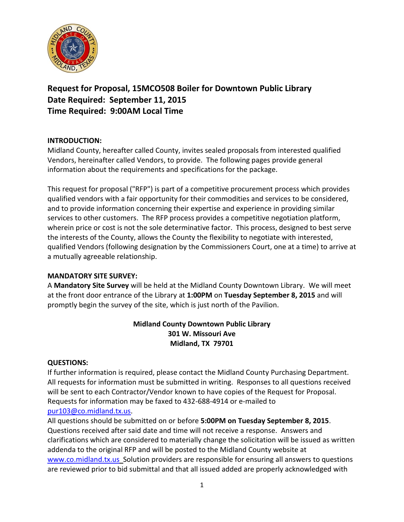

**Request for Proposal, 15MCO508 Boiler for Downtown Public Library Date Required: September 11, 2015 Time Required: 9:00AM Local Time**

# **INTRODUCTION:**

Midland County, hereafter called County, invites sealed proposals from interested qualified Vendors, hereinafter called Vendors, to provide. The following pages provide general information about the requirements and specifications for the package.

This request for proposal ("RFP") is part of a competitive procurement process which provides qualified vendors with a fair opportunity for their commodities and services to be considered, and to provide information concerning their expertise and experience in providing similar services to other customers. The RFP process provides a competitive negotiation platform, wherein price or cost is not the sole determinative factor. This process, designed to best serve the interests of the County, allows the County the flexibility to negotiate with interested, qualified Vendors (following designation by the Commissioners Court, one at a time) to arrive at a mutually agreeable relationship.

# **MANDATORY SITE SURVEY:**

A **Mandatory Site Survey** will be held at the Midland County Downtown Library. We will meet at the front door entrance of the Library at **1:00PM** on **Tuesday September 8, 2015** and will promptly begin the survey of the site, which is just north of the Pavilion.

# **Midland County Downtown Public Library 301 W. Missouri Ave Midland, TX 79701**

# **QUESTIONS:**

If further information is required, please contact the Midland County Purchasing Department. All requests for information must be submitted in writing. Responses to all questions received will be sent to each Contractor/Vendor known to have copies of the Request for Proposal. Requests for information may be faxed to 432-688-4914 or e-mailed to [pur103@co.midland.tx.us.](mailto:pur103@co.midland.tx.us)

All questions should be submitted on or before **5:00PM on Tuesday September 8, 2015**. Questions received after said date and time will not receive a response. Answers and clarifications which are considered to materially change the solicitation will be issued as written addenda to the original RFP and will be posted to the Midland County website at [www.co.midland.tx.us](http://www.co.midland.tx.us/) Solution providers are responsible for ensuring all answers to questions are reviewed prior to bid submittal and that all issued added are properly acknowledged with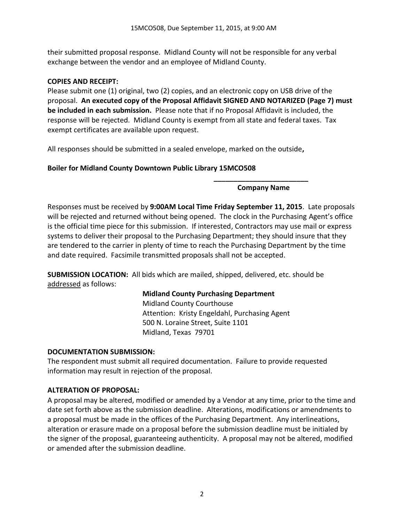their submitted proposal response. Midland County will not be responsible for any verbal exchange between the vendor and an employee of Midland County.

## **COPIES AND RECEIPT:**

Please submit one (1) original, two (2) copies, and an electronic copy on USB drive of the proposal. **An executed copy of the Proposal Affidavit SIGNED AND NOTARIZED (Page 7) must be included in each submission.** Please note that if no Proposal Affidavit is included, the response will be rejected. Midland County is exempt from all state and federal taxes. Tax exempt certificates are available upon request.

All responses should be submitted in a sealed envelope, marked on the outside**,** 

## **Boiler for Midland County Downtown Public Library 15MCO508**

#### **\_\_\_\_\_\_\_\_\_\_\_\_\_\_\_\_\_\_\_\_\_\_\_\_ Company Name**

Responses must be received by **9:00AM Local Time Friday September 11, 2015**. Late proposals will be rejected and returned without being opened. The clock in the Purchasing Agent's office is the official time piece for this submission. If interested, Contractors may use mail or express systems to deliver their proposal to the Purchasing Department; they should insure that they are tendered to the carrier in plenty of time to reach the Purchasing Department by the time and date required. Facsimile transmitted proposals shall not be accepted.

**SUBMISSION LOCATION:** All bids which are mailed, shipped, delivered, etc. should be addressed as follows:

## **Midland County Purchasing Department**

Midland County Courthouse Attention: Kristy Engeldahl, Purchasing Agent 500 N. Loraine Street, Suite 1101 Midland, Texas 79701

#### **DOCUMENTATION SUBMISSION:**

The respondent must submit all required documentation. Failure to provide requested information may result in rejection of the proposal.

#### **ALTERATION OF PROPOSAL:**

A proposal may be altered, modified or amended by a Vendor at any time, prior to the time and date set forth above as the submission deadline. Alterations, modifications or amendments to a proposal must be made in the offices of the Purchasing Department. Any interlineations, alteration or erasure made on a proposal before the submission deadline must be initialed by the signer of the proposal, guaranteeing authenticity. A proposal may not be altered, modified or amended after the submission deadline.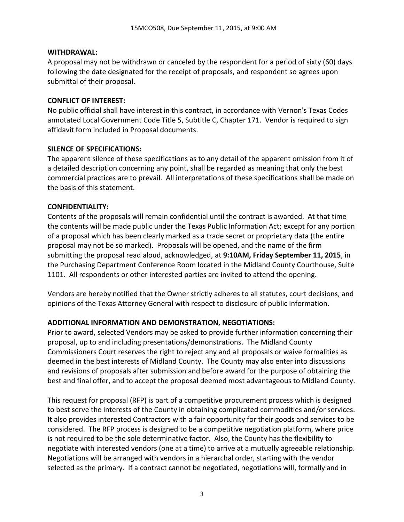#### **WITHDRAWAL:**

A proposal may not be withdrawn or canceled by the respondent for a period of sixty (60) days following the date designated for the receipt of proposals, and respondent so agrees upon submittal of their proposal.

#### **CONFLICT OF INTEREST:**

No public official shall have interest in this contract, in accordance with Vernon's Texas Codes annotated Local Government Code Title 5, Subtitle C, Chapter 171. Vendor is required to sign affidavit form included in Proposal documents.

#### **SILENCE OF SPECIFICATIONS:**

The apparent silence of these specifications as to any detail of the apparent omission from it of a detailed description concerning any point, shall be regarded as meaning that only the best commercial practices are to prevail. All interpretations of these specifications shall be made on the basis of this statement.

#### **CONFIDENTIALITY:**

Contents of the proposals will remain confidential until the contract is awarded. At that time the contents will be made public under the Texas Public Information Act; except for any portion of a proposal which has been clearly marked as a trade secret or proprietary data (the entire proposal may not be so marked). Proposals will be opened, and the name of the firm submitting the proposal read aloud, acknowledged, at **9:10AM, Friday September 11, 2015**, in the Purchasing Department Conference Room located in the Midland County Courthouse, Suite 1101. All respondents or other interested parties are invited to attend the opening.

Vendors are hereby notified that the Owner strictly adheres to all statutes, court decisions, and opinions of the Texas Attorney General with respect to disclosure of public information.

#### **ADDITIONAL INFORMATION AND DEMONSTRATION, NEGOTIATIONS:**

Prior to award, selected Vendors may be asked to provide further information concerning their proposal, up to and including presentations/demonstrations. The Midland County Commissioners Court reserves the right to reject any and all proposals or waive formalities as deemed in the best interests of Midland County. The County may also enter into discussions and revisions of proposals after submission and before award for the purpose of obtaining the best and final offer, and to accept the proposal deemed most advantageous to Midland County.

This request for proposal (RFP) is part of a competitive procurement process which is designed to best serve the interests of the County in obtaining complicated commodities and/or services. It also provides interested Contractors with a fair opportunity for their goods and services to be considered. The RFP process is designed to be a competitive negotiation platform, where price is not required to be the sole determinative factor. Also, the County has the flexibility to negotiate with interested vendors (one at a time) to arrive at a mutually agreeable relationship. Negotiations will be arranged with vendors in a hierarchal order, starting with the vendor selected as the primary. If a contract cannot be negotiated, negotiations will, formally and in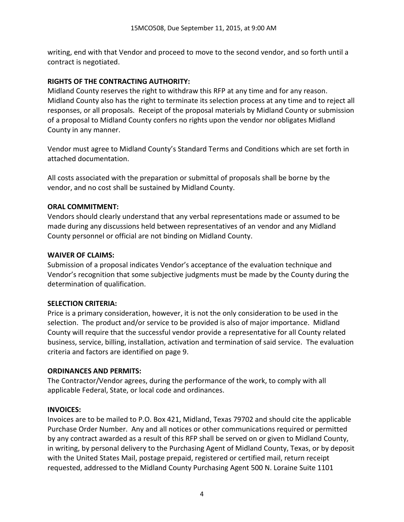writing, end with that Vendor and proceed to move to the second vendor, and so forth until a contract is negotiated.

## **RIGHTS OF THE CONTRACTING AUTHORITY:**

Midland County reserves the right to withdraw this RFP at any time and for any reason. Midland County also has the right to terminate its selection process at any time and to reject all responses, or all proposals. Receipt of the proposal materials by Midland County or submission of a proposal to Midland County confers no rights upon the vendor nor obligates Midland County in any manner.

Vendor must agree to Midland County's Standard Terms and Conditions which are set forth in attached documentation.

All costs associated with the preparation or submittal of proposals shall be borne by the vendor, and no cost shall be sustained by Midland County.

## **ORAL COMMITMENT:**

Vendors should clearly understand that any verbal representations made or assumed to be made during any discussions held between representatives of an vendor and any Midland County personnel or official are not binding on Midland County.

#### **WAIVER OF CLAIMS:**

Submission of a proposal indicates Vendor's acceptance of the evaluation technique and Vendor's recognition that some subjective judgments must be made by the County during the determination of qualification.

#### **SELECTION CRITERIA:**

Price is a primary consideration, however, it is not the only consideration to be used in the selection. The product and/or service to be provided is also of major importance. Midland County will require that the successful vendor provide a representative for all County related business, service, billing, installation, activation and termination of said service. The evaluation criteria and factors are identified on page 9.

#### **ORDINANCES AND PERMITS:**

The Contractor/Vendor agrees, during the performance of the work, to comply with all applicable Federal, State, or local code and ordinances.

#### **INVOICES:**

Invoices are to be mailed to P.O. Box 421, Midland, Texas 79702 and should cite the applicable Purchase Order Number. Any and all notices or other communications required or permitted by any contract awarded as a result of this RFP shall be served on or given to Midland County, in writing, by personal delivery to the Purchasing Agent of Midland County, Texas, or by deposit with the United States Mail, postage prepaid, registered or certified mail, return receipt requested, addressed to the Midland County Purchasing Agent 500 N. Loraine Suite 1101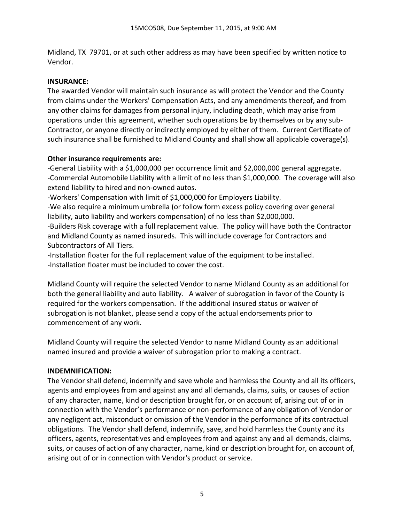Midland, TX 79701, or at such other address as may have been specified by written notice to Vendor.

## **INSURANCE:**

The awarded Vendor will maintain such insurance as will protect the Vendor and the County from claims under the Workers' Compensation Acts, and any amendments thereof, and from any other claims for damages from personal injury, including death, which may arise from operations under this agreement, whether such operations be by themselves or by any sub-Contractor, or anyone directly or indirectly employed by either of them. Current Certificate of such insurance shall be furnished to Midland County and shall show all applicable coverage(s).

## **Other insurance requirements are:**

-General Liability with a \$1,000,000 per occurrence limit and \$2,000,000 general aggregate. -Commercial Automobile Liability with a limit of no less than \$1,000,000. The coverage will also extend liability to hired and non-owned autos.

-Workers' Compensation with limit of \$1,000,000 for Employers Liability.

-We also require a minimum umbrella (or follow form excess policy covering over general liability, auto liability and workers compensation) of no less than \$2,000,000.

-Builders Risk coverage with a full replacement value. The policy will have both the Contractor and Midland County as named insureds. This will include coverage for Contractors and Subcontractors of All Tiers.

-Installation floater for the full replacement value of the equipment to be installed. -Installation floater must be included to cover the cost.

Midland County will require the selected Vendor to name Midland County as an additional for both the general liability and auto liability. A waiver of subrogation in favor of the County is required for the workers compensation. If the additional insured status or waiver of subrogation is not blanket, please send a copy of the actual endorsements prior to commencement of any work.

Midland County will require the selected Vendor to name Midland County as an additional named insured and provide a waiver of subrogation prior to making a contract.

#### **INDEMNIFICATION:**

The Vendor shall defend, indemnify and save whole and harmless the County and all its officers, agents and employees from and against any and all demands, claims, suits, or causes of action of any character, name, kind or description brought for, or on account of, arising out of or in connection with the Vendor's performance or non-performance of any obligation of Vendor or any negligent act, misconduct or omission of the Vendor in the performance of its contractual obligations. The Vendor shall defend, indemnify, save, and hold harmless the County and its officers, agents, representatives and employees from and against any and all demands, claims, suits, or causes of action of any character, name, kind or description brought for, on account of, arising out of or in connection with Vendor's product or service.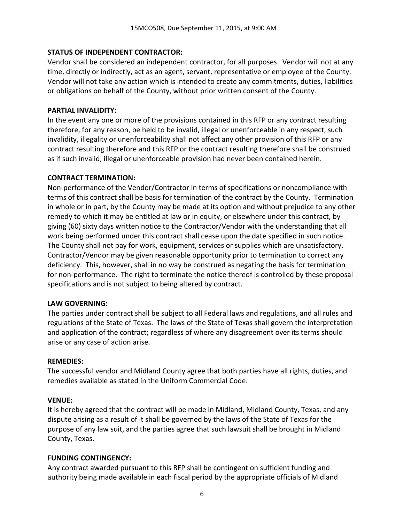## **STATUS OF INDEPENDENT CONTRACTOR:**

Vendor shall be considered an independent contractor, for all purposes. Vendor will not at any time, directly or indirectly, act as an agent, servant, representative or employee of the County. Vendor will not take any action which is intended to create any commitments, duties, liabilities or obligations on behalf of the County, without prior written consent of the County.

#### **PARTIAL INVALIDITY:**

In the event any one or more of the provisions contained in this RFP or any contract resulting therefore, for any reason, be held to be invalid, illegal or unenforceable in any respect, such invalidity, illegality or unenforceability shall not affect any other provision of this RFP or any contract resulting therefore and this RFP or the contract resulting therefore shall be construed as if such invalid, illegal or unenforceable provision had never been contained herein.

#### **CONTRACT TERMINATION:**

Non-performance of the Vendor/Contractor in terms of specifications or noncompliance with terms of this contract shall be basis for termination of the contract by the County. Termination in whole or in part, by the County may be made at its option and without prejudice to any other remedy to which it may be entitled at law or in equity, or elsewhere under this contract, by giving (60) sixty days written notice to the Contractor/Vendor with the understanding that all work being performed under this contract shall cease upon the date specified in such notice. The County shall not pay for work, equipment, services or supplies which are unsatisfactory. Contractor/Vendor may be given reasonable opportunity prior to termination to correct any deficiency. This, however, shall in no way be construed as negating the basis for termination for non-performance. The right to terminate the notice thereof is controlled by these proposal specifications and is not subject to being altered by contract.

#### **LAW GOVERNING:**

The parties under contract shall be subject to all Federal laws and regulations, and all rules and regulations of the State of Texas. The laws of the State of Texas shall govern the interpretation and application of the contract; regardless of where any disagreement over its terms should arise or any case of action arise.

#### **REMEDIES:**

The successful vendor and Midland County agree that both parties have all rights, duties, and remedies available as stated in the Uniform Commercial Code.

#### **VENUE:**

It is hereby agreed that the contract will be made in Midland, Midland County, Texas, and any dispute arising as a result of it shall be governed by the laws of the State of Texas for the purpose of any law suit, and the parties agree that such lawsuit shall be brought in Midland County, Texas.

#### **FUNDING CONTINGENCY:**

Any contract awarded pursuant to this RFP shall be contingent on sufficient funding and authority being made available in each fiscal period by the appropriate officials of Midland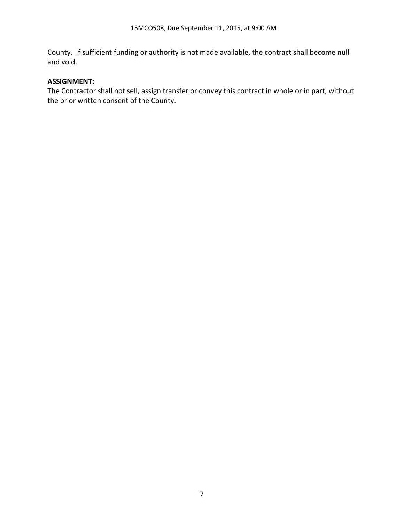County. If sufficient funding or authority is not made available, the contract shall become null and void.

## **ASSIGNMENT:**

The Contractor shall not sell, assign transfer or convey this contract in whole or in part, without the prior written consent of the County.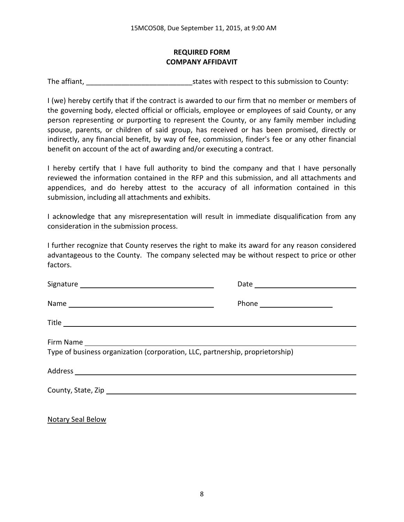# **REQUIRED FORM COMPANY AFFIDAVIT**

The affiant, The affiant,  $\frac{1}{2}$  is tates with respect to this submission to County:

I (we) hereby certify that if the contract is awarded to our firm that no member or members of the governing body, elected official or officials, employee or employees of said County, or any person representing or purporting to represent the County, or any family member including spouse, parents, or children of said group, has received or has been promised, directly or indirectly, any financial benefit, by way of fee, commission, finder's fee or any other financial benefit on account of the act of awarding and/or executing a contract.

I hereby certify that I have full authority to bind the company and that I have personally reviewed the information contained in the RFP and this submission, and all attachments and appendices, and do hereby attest to the accuracy of all information contained in this submission, including all attachments and exhibits.

I acknowledge that any misrepresentation will result in immediate disqualification from any consideration in the submission process.

I further recognize that County reserves the right to make its award for any reason considered advantageous to the County. The company selected may be without respect to price or other factors.

| Type of business organization (corporation, LLC, partnership, proprietorship) |  |
|-------------------------------------------------------------------------------|--|
|                                                                               |  |
|                                                                               |  |
|                                                                               |  |

Notary Seal Below